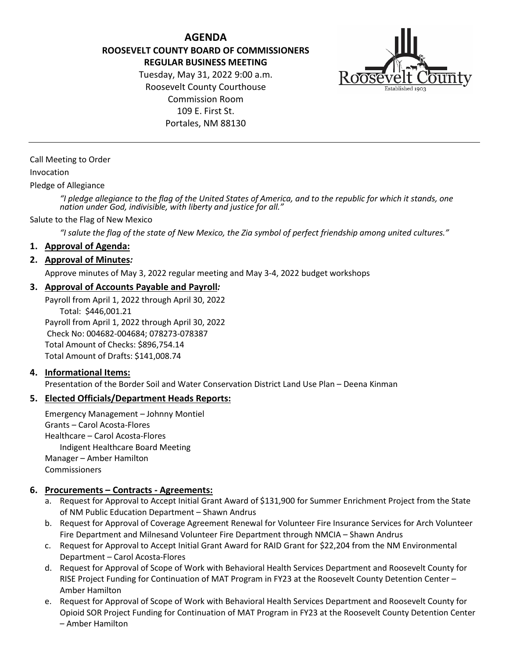**AGENDA ROOSEVELT COUNTY BOARD OF COMMISSIONERS REGULAR BUSINESS MEETING**

> Tuesday, May 31, 2022 9:00 a.m. Roosevelt County Courthouse Commission Room 109 E. First St. Portales, NM 88130



Call Meeting to Order

#### Invocation

Pledge of Allegiance

*"I pledge allegiance to the flag of the United States of America, and to the republic for which it stands, one nation under God, indivisible, with liberty and justice for all."*

#### Salute to the Flag of New Mexico

*"I salute the flag of the state of New Mexico, the Zia symbol of perfect friendship among united cultures."*

#### **1. Approval of Agenda:**

#### **2. Approval of Minutes***:*

Approve minutes of May 3, 2022 regular meeting and May 3-4, 2022 budget workshops

## **3. Approval of Accounts Payable and Payroll***:*

Payroll from April 1, 2022 through April 30, 2022 Total: \$446,001.21 Payroll from April 1, 2022 through April 30, 2022 Check No: 004682-004684; 078273-078387 Total Amount of Checks: \$896,754.14 Total Amount of Drafts: \$141,008.74

#### **4. Informational Items:**

Presentation of the Border Soil and Water Conservation District Land Use Plan – Deena Kinman

#### **5. Elected Officials/Department Heads Reports:**

Emergency Management – Johnny Montiel Grants – Carol Acosta-Flores Healthcare – Carol Acosta-Flores Indigent Healthcare Board Meeting Manager – Amber Hamilton Commissioners

#### **6. Procurements – Contracts - Agreements:**

- a. Request for Approval to Accept Initial Grant Award of \$131,900 for Summer Enrichment Project from the State of NM Public Education Department – Shawn Andrus
- b. Request for Approval of Coverage Agreement Renewal for Volunteer Fire Insurance Services for Arch Volunteer Fire Department and Milnesand Volunteer Fire Department through NMCIA – Shawn Andrus
- c. Request for Approval to Accept Initial Grant Award for RAID Grant for \$22,204 from the NM Environmental Department – Carol Acosta-Flores
- d. Request for Approval of Scope of Work with Behavioral Health Services Department and Roosevelt County for RISE Project Funding for Continuation of MAT Program in FY23 at the Roosevelt County Detention Center – Amber Hamilton
- e. Request for Approval of Scope of Work with Behavioral Health Services Department and Roosevelt County for Opioid SOR Project Funding for Continuation of MAT Program in FY23 at the Roosevelt County Detention Center – Amber Hamilton